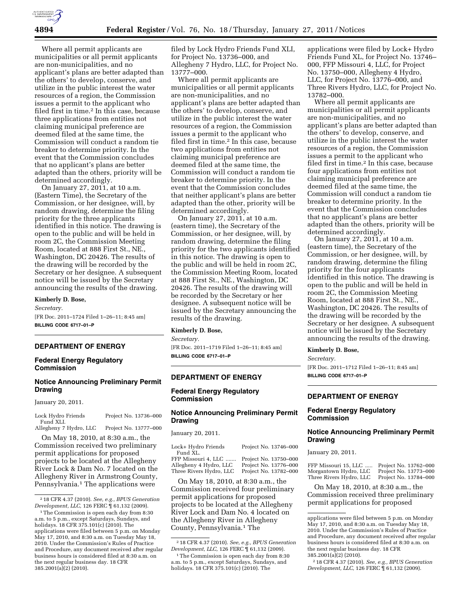

Where all permit applicants are municipalities or all permit applicants are non-municipalities, and no applicant's plans are better adapted than the others' to develop, conserve, and utilize in the public interest the water resources of a region, the Commission issues a permit to the applicant who filed first in time.2 In this case, because three applications from entities not claiming municipal preference are deemed filed at the same time, the Commission will conduct a random tie breaker to determine priority. In the event that the Commission concludes that no applicant's plans are better adapted than the others, priority will be determined accordingly.

On January 27, 2011, at 10 a.m. (Eastern Time), the Secretary of the Commission, or her designee, will, by random drawing, determine the filing priority for the three applicants identified in this notice. The drawing is open to the public and will be held in room 2C, the Commission Meeting Room, located at 888 First St., NE., Washington, DC 20426. The results of the drawing will be recorded by the Secretary or her designee. A subsequent notice will be issued by the Secretary announcing the results of the drawing.

### **Kimberly D. Bose,**

*Secretary.*  [FR Doc. 2011–1724 Filed 1–26–11; 8:45 am] **BILLING CODE 6717–01–P** 

## **DEPARTMENT OF ENERGY**

# **Federal Energy Regulatory Commission**

# **Notice Announcing Preliminary Permit Drawing**

January 20, 2011.

| Lock Hydro Friends            | Project No. 13736-000                       |
|-------------------------------|---------------------------------------------|
| Fund XLI.                     |                                             |
| Allochony $\pi$ Hydro $\pi$ C | $D_{\text{noise}} + M_{\text{e}}$ 19777 000 |

Allegheny 7 Hydro, LLC Project No. 13777–000

On May 18, 2010, at 8:30 a.m., the Commission received two preliminary permit applications for proposed projects to be located at the Allegheny River Lock & Dam No. 7 located on the Allegheny River in Armstrong County, Pennsylvania.<sup>1</sup> The applications were

filed by Lock Hydro Friends Fund XLI, for Project No. 13736–000, and Allegheny 7 Hydro, LLC, for Project No. 13777–000.

Where all permit applicants are municipalities or all permit applicants are non-municipalities, and no applicant's plans are better adapted than the others' to develop, conserve, and utilize in the public interest the water resources of a region, the Commission issues a permit to the applicant who filed first in time.2 In this case, because two applications from entities not claiming municipal preference are deemed filed at the same time, the Commission will conduct a random tie breaker to determine priority. In the event that the Commission concludes that neither applicant's plans are better adapted than the other, priority will be determined accordingly.

On January 27, 2011, at 10 a.m. (eastern time), the Secretary of the Commission, or her designee, will, by random drawing, determine the filing priority for the two applicants identified in this notice. The drawing is open to the public and will be held in room 2C, the Commission Meeting Room, located at 888 First St., NE., Washington, DC 20426. The results of the drawing will be recorded by the Secretary or her designee. A subsequent notice will be issued by the Secretary announcing the results of the drawing.

## **Kimberly D. Bose,**

*Secretary.* 

[FR Doc. 2011–1719 Filed 1–26–11; 8:45 am] **BILLING CODE 6717–01–P** 

# **DEPARTMENT OF ENERGY**

# **Federal Energy Regulatory Commission**

# **Notice Announcing Preliminary Permit Drawing**

January 20, 2011.

| Lock+ Hydro Friends     |
|-------------------------|
| Fund XL.                |
| FFP Missouri 4, LLC     |
| Allegheny 4 Hydro, LLC  |
| Three Rivers Hydro, LLC |

Project No. 13746–000 Project No. 13750–000 Project No. 13776–000 Project No. 13782–000

On May 18, 2010, at 8:30 a.m., the Commission received four preliminary permit applications for proposed projects to be located at the Allegheny River Lock and Dam No. 4 located on the Allegheny River in Allegheny County, Pennsylvania.1 The

applications were filed by Lock+ Hydro Friends Fund XL, for Project No. 13746– 000, FFP Missouri 4, LLC, for Project No. 13750–000, Allegheny 4 Hydro, LLC, for Project No. 13776-000, and Three Rivers Hydro, LLC, for Project No. 13782–000.

Where all permit applicants are municipalities or all permit applicants are non-municipalities, and no applicant's plans are better adapted than the others' to develop, conserve, and utilize in the public interest the water resources of a region, the Commission issues a permit to the applicant who filed first in time.2 In this case, because four applications from entities not claiming municipal preference are deemed filed at the same time, the Commission will conduct a random tie breaker to determine priority. In the event that the Commission concludes that no applicant's plans are better adapted than the others, priority will be determined accordingly.

On January 27, 2011, at 10 a.m. (eastern time), the Secretary of the Commission, or her designee, will, by random drawing, determine the filing priority for the four applicants identified in this notice. The drawing is open to the public and will be held in room 2C, the Commission Meeting Room, located at 888 First St., NE., Washington, DC 20426. The results of the drawing will be recorded by the Secretary or her designee. A subsequent notice will be issued by the Secretary announcing the results of the drawing.

### **Kimberly D. Bose,**

*Secretary.*  [FR Doc. 2011–1712 Filed 1–26–11; 8:45 am] **BILLING CODE 6717–01–P** 

# **DEPARTMENT OF ENERGY**

# **Federal Energy Regulatory Commission**

# **Notice Announcing Preliminary Permit Drawing**

January 20, 2011.

FFP Missouri 15, LLC ..... Project No. 13762–000 Morgantown Hydro, LLC Project No. 13773–000 Three Rivers Hydro, LLC Project No. 13784–000

On May 18, 2010, at 8:30 a.m., the Commission received three preliminary permit applications for proposed

<sup>2</sup> 18 CFR 4.37 (2010). *See, e.g., BPUS Generation Development, LLC,* 126 FERC ¶ 61,132 (2009).

<sup>1</sup>The Commission is open each day from 8:30 a.m. to 5 p.m., except Saturdays, Sundays, and holidays. 18 CFR 375.101(c) (2010). The applications were filed between 5 p.m. on Monday May 17, 2010, and 8:30 a.m. on Tuesday May 18, 2010. Under the Commission's Rules of Practice and Procedure, any document received after regular business hours is considered filed at 8:30 a.m. on the next regular business day. 18 CFR 385.2001(a)(2) (2010).

<sup>2</sup> 18 CFR 4.37 (2010). *See, e.g., BPUS Generation Development, LLC,* 126 FERC ¶ 61,132 (2009).

<sup>&</sup>lt;sup>1</sup>The Commission is open each day from 8:30 a.m. to 5 p.m., except Saturdays, Sundays, and holidays. 18 CFR 375.101(c) (2010). The

applications were filed between 5 p.m. on Monday May 17, 2010, and 8:30 a.m. on Tuesday May 18, 2010. Under the Commission's Rules of Practice and Procedure, any document received after regular business hours is considered filed at 8:30 a.m. on the next regular business day. 18 CFR 385.2001(a)(2) (2010).

<sup>2</sup> 18 CFR 4.37 (2010). *See, e.g., BPUS Generation Development, LLC,* 126 FERC ¶ 61,132 (2009).